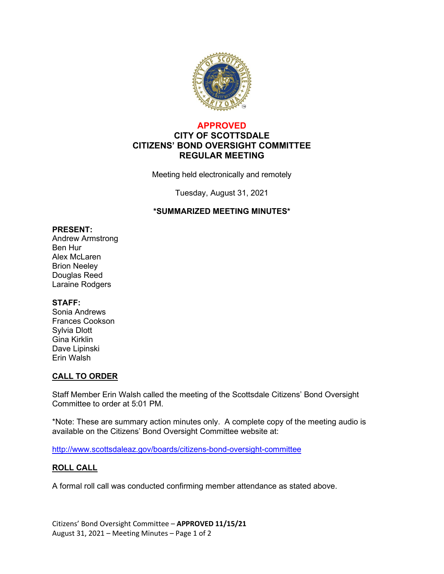

### **APPROVED CITY OF SCOTTSDALE CITIZENS' BOND OVERSIGHT COMMITTEE REGULAR MEETING**

Meeting held electronically and remotely

Tuesday, August 31, 2021

### **\*SUMMARIZED MEETING MINUTES\***

#### **PRESENT:**

Andrew Armstrong Ben Hur Alex McLaren Brion Neeley Douglas Reed Laraine Rodgers

### **STAFF:**

Sonia Andrews Frances Cookson Sylvia Dlott Gina Kirklin Dave Lipinski Erin Walsh

### **CALL TO ORDER**

Staff Member Erin Walsh called the meeting of the Scottsdale Citizens' Bond Oversight Committee to order at 5:01 PM.

\*Note: These are summary action minutes only. A complete copy of the meeting audio is available on the Citizens' Bond Oversight Committee website at:

<http://www.scottsdaleaz.gov/boards/citizens-bond-oversight-committee>

### **ROLL CALL**

A formal roll call was conducted confirming member attendance as stated above.

Citizens' Bond Oversight Committee – **APPROVED 11/15/21** August 31, 2021 – Meeting Minutes – Page 1 of 2